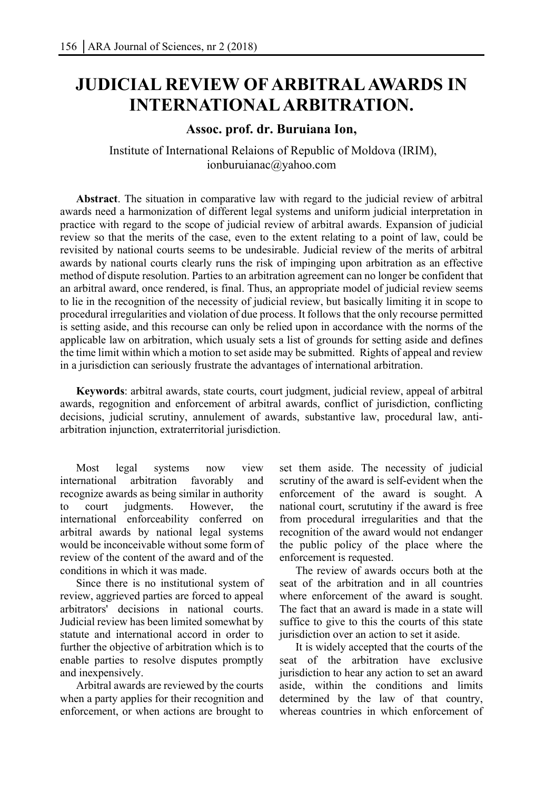## **JUDICIAL REVIEW OF ARBITRAL AWARDS IN INTERNATIONAL ARBITRATION.**

## **Assoc. prof. dr. Buruiana Ion,**

 Institute of International Relaions of Republic of Moldova (IRIM), ionburuianac@yahoo.com

**Abstract**. The situation in comparative law with regard to the judicial review of arbitral awards need a harmonization of different legal systems and uniform judicial interpretation in practice with regard to the scope of judicial review of arbitral awards. Expansion of judicial review so that the merits of the case, even to the extent relating to a point of law, could be revisited by national courts seems to be undesirable. Judicial review of the merits of arbitral awards by national courts clearly runs the risk of impinging upon arbitration as an effective method of dispute resolution. Parties to an arbitration agreement can no longer be confident that an arbitral award, once rendered, is final. Thus, an appropriate model of judicial review seems to lie in the recognition of the necessity of judicial review, but basically limiting it in scope to procedural irregularities and violation of due process. It follows that the only recourse permitted is setting aside, and this recourse can only be relied upon in accordance with the norms of the applicable law on arbitration, which usualy sets a list of grounds for setting aside and defines the time limit within which a motion to set aside may be submitted. Rights of appeal and review in a jurisdiction can seriously frustrate the advantages of international arbitration.

**Keywords**: arbitral awards, state courts, court judgment, judicial review, appeal of arbitral awards, regognition and enforcement of arbitral awards, conflict of jurisdiction, conflicting decisions, judicial scrutiny, annulement of awards, substantive law, procedural law, antiarbitration injunction, extraterritorial jurisdiction.

Most legal systems now view international arbitration favorably and recognize awards as being similar in authority to court judgments. However, the international enforceability conferred on arbitral awards by national legal systems would be inconceivable without some form of review of the content of the award and of the conditions in which it was made.

Since there is no institutional system of review, aggrieved parties are forced to appeal arbitrators' decisions in national courts. Judicial review has been limited somewhat by statute and international accord in order to further the objective of arbitration which is to enable parties to resolve disputes promptly and inexpensively.

Arbitral awards are reviewed by the courts when a party applies for their recognition and enforcement, or when actions are brought to

set them aside. The necessity of judicial scrutiny of the award is self-evident when the enforcement of the award is sought. A national court, scrututiny if the award is free from procedural irregularities and that the recognition of the award would not endanger the public policy of the place where the enforcement is requested.

The review of awards occurs both at the seat of the arbitration and in all countries where enforcement of the award is sought. The fact that an award is made in a state will suffice to give to this the courts of this state jurisdiction over an action to set it aside.

It is widely accepted that the courts of the seat of the arbitration have exclusive jurisdiction to hear any action to set an award aside, within the conditions and limits determined by the law of that country, whereas countries in which enforcement of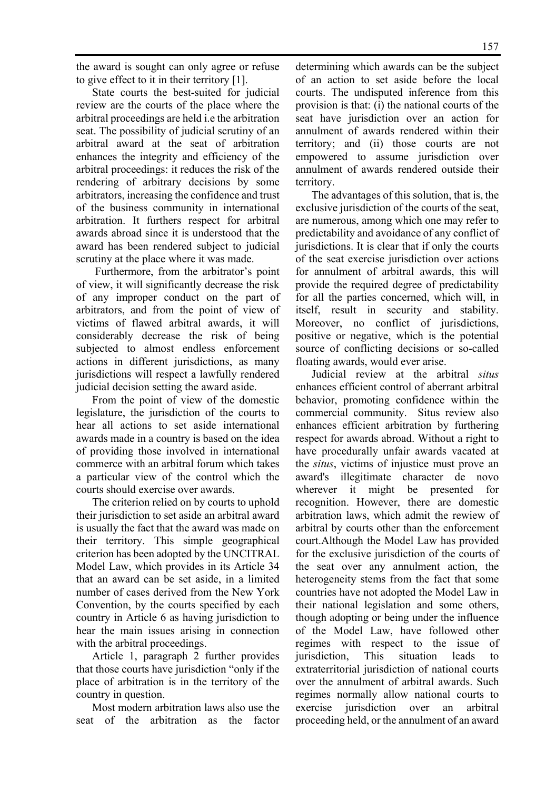the award is sought can only agree or refuse to give effect to it in their territory [1].

State courts the best-suited for judicial review are the courts of the place where the arbitral proceedings are held i.e the arbitration seat. The possibility of judicial scrutiny of an arbitral award at the seat of arbitration enhances the integrity and efficiency of the arbitral proceedings: it reduces the risk of the rendering of arbitrary decisions by some arbitrators, increasing the confidence and trust of the business community in international arbitration. It furthers respect for arbitral awards abroad since it is understood that the award has been rendered subject to judicial scrutiny at the place where it was made.

 Furthermore, from the arbitrator's point of view, it will significantly decrease the risk of any improper conduct on the part of arbitrators, and from the point of view of victims of flawed arbitral awards, it will considerably decrease the risk of being subjected to almost endless enforcement actions in different jurisdictions, as many jurisdictions will respect a lawfully rendered judicial decision setting the award aside.

From the point of view of the domestic legislature, the jurisdiction of the courts to hear all actions to set aside international awards made in a country is based on the idea of providing those involved in international commerce with an arbitral forum which takes a particular view of the control which the courts should exercise over awards.

The criterion relied on by courts to uphold their jurisdiction to set aside an arbitral award is usually the fact that the award was made on their territory. This simple geographical criterion has been adopted by the UNCITRAL Model Law, which provides in its Article 34 that an award can be set aside, in a limited number of cases derived from the New York Convention, by the courts specified by each country in Article 6 as having jurisdiction to hear the main issues arising in connection with the arbitral proceedings.

Article 1, paragraph 2 further provides that those courts have jurisdiction "only if the place of arbitration is in the territory of the country in question.

Most modern arbitration laws also use the seat of the arbitration as the factor

determining which awards can be the subject of an action to set aside before the local courts. The undisputed inference from this provision is that: (i) the national courts of the seat have jurisdiction over an action for annulment of awards rendered within their territory; and (ii) those courts are not empowered to assume jurisdiction over annulment of awards rendered outside their territory.

The advantages of this solution, that is, the exclusive jurisdiction of the courts of the seat, are numerous, among which one may refer to predictability and avoidance of any conflict of jurisdictions. It is clear that if only the courts of the seat exercise jurisdiction over actions for annulment of arbitral awards, this will provide the required degree of predictability for all the parties concerned, which will, in itself, result in security and stability. Moreover, no conflict of jurisdictions, positive or negative, which is the potential source of conflicting decisions or so-called floating awards, would ever arise.

Judicial review at the arbitral *situs* enhances efficient control of aberrant arbitral behavior, promoting confidence within the commercial community. Situs review also enhances efficient arbitration by furthering respect for awards abroad. Without a right to have procedurally unfair awards vacated at the *situs*, victims of injustice must prove an award's illegitimate character de novo wherever it might be presented for recognition. However, there are domestic arbitration laws, which admit the rewiew of arbitral by courts other than the enforcement court.Although the Model Law has provided for the exclusive jurisdiction of the courts of the seat over any annulment action, the heterogeneity stems from the fact that some countries have not adopted the Model Law in their national legislation and some others, though adopting or being under the influence of the Model Law, have followed other regimes with respect to the issue of jurisdiction, This situation leads to extraterritorial jurisdiction of national courts over the annulment of arbitral awards. Such regimes normally allow national courts to exercise jurisdiction over an arbitral proceeding held, or the annulment of an award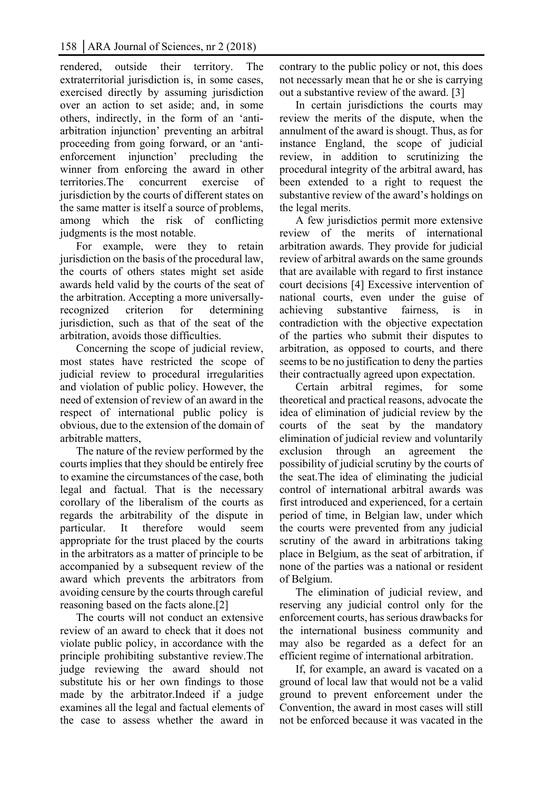rendered, outside their territory. The extraterritorial jurisdiction is, in some cases, exercised directly by assuming jurisdiction over an action to set aside; and, in some others, indirectly, in the form of an 'antiarbitration injunction' preventing an arbitral proceeding from going forward, or an 'antienforcement injunction' precluding the winner from enforcing the award in other territories.The concurrent exercise of jurisdiction by the courts of different states on the same matter is itself a source of problems, among which the risk of conflicting judgments is the most notable.

For example, were they to retain jurisdiction on the basis of the procedural law, the courts of others states might set aside awards held valid by the courts of the seat of the arbitration. Accepting a more universallyrecognized criterion for determining jurisdiction, such as that of the seat of the arbitration, avoids those difficulties.

Concerning the scope of judicial review, most states have restricted the scope of judicial review to procedural irregularities and violation of public policy. However, the need of extension of review of an award in the respect of international public policy is obvious, due to the extension of the domain of arbitrable matters,

The nature of the review performed by the courts implies that they should be entirely free to examine the circumstances of the case, both legal and factual. That is the necessary corollary of the liberalism of the courts as regards the arbitrability of the dispute in particular. It therefore would seem appropriate for the trust placed by the courts in the arbitrators as a matter of principle to be accompanied by a subsequent review of the award which prevents the arbitrators from avoiding censure by the courts through careful reasoning based on the facts alone.[2]

The courts will not conduct an extensive review of an award to check that it does not violate public policy, in accordance with the principle prohibiting substantive review.The judge reviewing the award should not substitute his or her own findings to those made by the arbitrator.Indeed if a judge examines all the legal and factual elements of the case to assess whether the award in

contrary to the public policy or not, this does not necessarly mean that he or she is carrying out a substantive review of the award. [3]

In certain jurisdictions the courts may review the merits of the dispute, when the annulment of the award is shougt. Thus, as for instance England, the scope of judicial review, in addition to scrutinizing the procedural integrity of the arbitral award, has been extended to a right to request the substantive review of the award's holdings on the legal merits.

A few jurisdictios permit more extensive review of the merits of international arbitration awards. They provide for judicial review of arbitral awards on the same grounds that are available with regard to first instance court decisions [4] Excessive intervention of national courts, even under the guise of achieving substantive fairness, is in contradiction with the objective expectation of the parties who submit their disputes to arbitration, as opposed to courts, and there seems to be no justification to deny the parties their contractually agreed upon expectation.

Certain arbitral regimes, for some theoretical and practical reasons, advocate the idea of elimination of judicial review by the courts of the seat by the mandatory elimination of judicial review and voluntarily exclusion through an agreement the possibility of judicial scrutiny by the courts of the seat.The idea of eliminating the judicial control of international arbitral awards was first introduced and experienced, for a certain period of time, in Belgian law, under which the courts were prevented from any judicial scrutiny of the award in arbitrations taking place in Belgium, as the seat of arbitration, if none of the parties was a national or resident of Belgium.

The elimination of judicial review, and reserving any judicial control only for the enforcement courts, has serious drawbacks for the international business community and may also be regarded as a defect for an efficient regime of international arbitration.

If, for example, an award is vacated on a ground of local law that would not be a valid ground to prevent enforcement under the Convention, the award in most cases will still not be enforced because it was vacated in the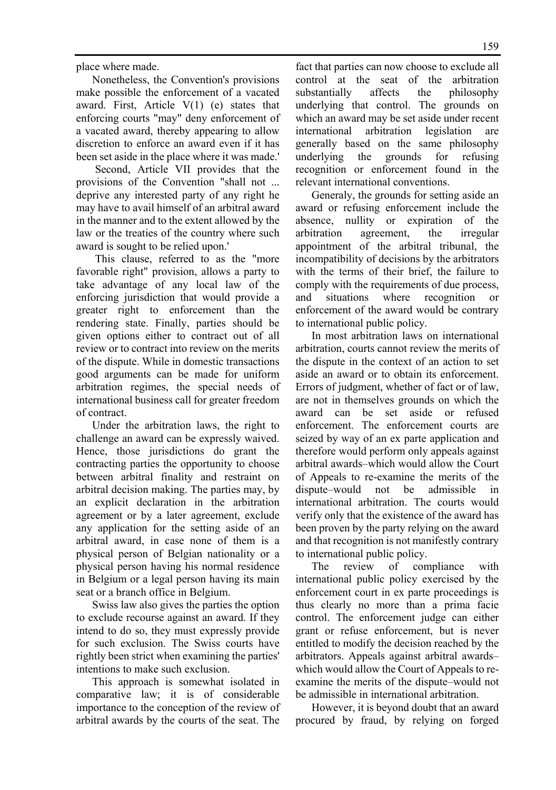place where made.

Nonetheless, the Convention's provisions make possible the enforcement of a vacated award. First, Article  $V(1)$  (e) states that enforcing courts "may" deny enforcement of a vacated award, thereby appearing to allow discretion to enforce an award even if it has been set aside in the place where it was made.'

 Second, Article VII provides that the provisions of the Convention "shall not ... deprive any interested party of any right he may have to avail himself of an arbitral award in the manner and to the extent allowed by the law or the treaties of the country where such award is sought to be relied upon.'

 This clause, referred to as the "more favorable right" provision, allows a party to take advantage of any local law of the enforcing jurisdiction that would provide a greater right to enforcement than the rendering state. Finally, parties should be given options either to contract out of all review or to contract into review on the merits of the dispute. While in domestic transactions good arguments can be made for uniform arbitration regimes, the special needs of international business call for greater freedom of contract.

Under the arbitration laws, the right to challenge an award can be expressly waived. Hence, those jurisdictions do grant the contracting parties the opportunity to choose between arbitral finality and restraint on arbitral decision making. The parties may, by an explicit declaration in the arbitration agreement or by a later agreement, exclude any application for the setting aside of an arbitral award, in case none of them is a physical person of Belgian nationality or a physical person having his normal residence in Belgium or a legal person having its main seat or a branch office in Belgium.

Swiss law also gives the parties the option to exclude recourse against an award. If they intend to do so, they must expressly provide for such exclusion. The Swiss courts have rightly been strict when examining the parties' intentions to make such exclusion.

This approach is somewhat isolated in comparative law; it is of considerable importance to the conception of the review of arbitral awards by the courts of the seat. The

fact that parties can now choose to exclude all control at the seat of the arbitration substantially affects the philosophy underlying that control. The grounds on which an award may be set aside under recent international arbitration legislation are generally based on the same philosophy underlying the grounds for refusing recognition or enforcement found in the relevant international conventions.

Generaly, the grounds for setting aside an award or refusing enforcement include the absence, nullity or expiration of the arbitration agreement, the irregular appointment of the arbitral tribunal, the incompatibility of decisions by the arbitrators with the terms of their brief, the failure to comply with the requirements of due process, and situations where recognition enforcement of the award would be contrary to international public policy.

In most arbitration laws on international arbitration, courts cannot review the merits of the dispute in the context of an action to set aside an award or to obtain its enforcement. Errors of judgment, whether of fact or of law, are not in themselves grounds on which the award can be set aside or refused enforcement. The enforcement courts are seized by way of an ex parte application and therefore would perform only appeals against arbitral awards–which would allow the Court of Appeals to re-examine the merits of the dispute–would not be admissible in international arbitration. The courts would verify only that the existence of the award has been proven by the party relying on the award and that recognition is not manifestly contrary to international public policy.

The review of compliance with international public policy exercised by the enforcement court in ex parte proceedings is thus clearly no more than a prima facie control. The enforcement judge can either grant or refuse enforcement, but is never entitled to modify the decision reached by the arbitrators. Appeals against arbitral awards– which would allow the Court of Appeals to reexamine the merits of the dispute–would not be admissible in international arbitration.

However, it is beyond doubt that an award procured by fraud, by relying on forged